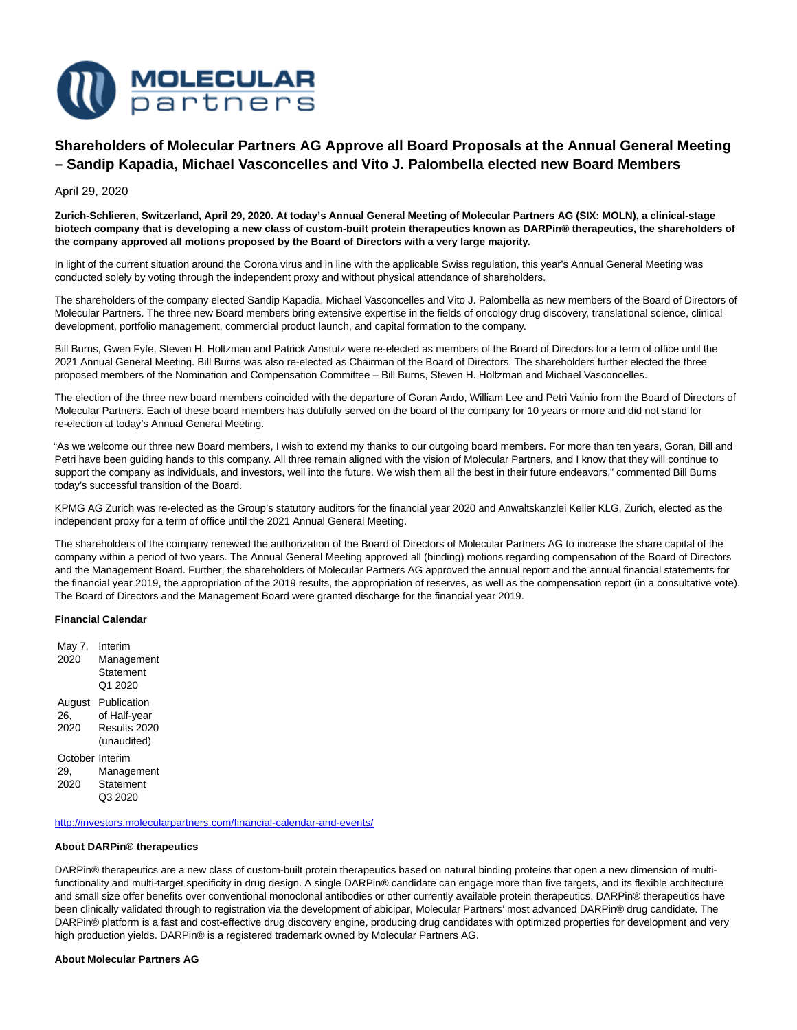

# **Shareholders of Molecular Partners AG Approve all Board Proposals at the Annual General Meeting – Sandip Kapadia, Michael Vasconcelles and Vito J. Palombella elected new Board Members**

April 29, 2020

**Zurich-Schlieren, Switzerland, April 29, 2020. At today's Annual General Meeting of Molecular Partners AG (SIX: MOLN), a clinical-stage biotech company that is developing a new class of custom-built protein therapeutics known as DARPin® therapeutics, the shareholders of the company approved all motions proposed by the Board of Directors with a very large majority.**

In light of the current situation around the Corona virus and in line with the applicable Swiss regulation, this year's Annual General Meeting was conducted solely by voting through the independent proxy and without physical attendance of shareholders.

The shareholders of the company elected Sandip Kapadia, Michael Vasconcelles and Vito J. Palombella as new members of the Board of Directors of Molecular Partners. The three new Board members bring extensive expertise in the fields of oncology drug discovery, translational science, clinical development, portfolio management, commercial product launch, and capital formation to the company.

Bill Burns, Gwen Fyfe, Steven H. Holtzman and Patrick Amstutz were re-elected as members of the Board of Directors for a term of office until the 2021 Annual General Meeting. Bill Burns was also re-elected as Chairman of the Board of Directors. The shareholders further elected the three proposed members of the Nomination and Compensation Committee – Bill Burns, Steven H. Holtzman and Michael Vasconcelles.

The election of the three new board members coincided with the departure of Goran Ando, William Lee and Petri Vainio from the Board of Directors of Molecular Partners. Each of these board members has dutifully served on the board of the company for 10 years or more and did not stand for re-election at today's Annual General Meeting.

"As we welcome our three new Board members, I wish to extend my thanks to our outgoing board members. For more than ten years, Goran, Bill and Petri have been guiding hands to this company. All three remain aligned with the vision of Molecular Partners, and I know that they will continue to support the company as individuals, and investors, well into the future. We wish them all the best in their future endeavors," commented Bill Burns today's successful transition of the Board.

KPMG AG Zurich was re-elected as the Group's statutory auditors for the financial year 2020 and Anwaltskanzlei Keller KLG, Zurich, elected as the independent proxy for a term of office until the 2021 Annual General Meeting.

The shareholders of the company renewed the authorization of the Board of Directors of Molecular Partners AG to increase the share capital of the company within a period of two years. The Annual General Meeting approved all (binding) motions regarding compensation of the Board of Directors and the Management Board. Further, the shareholders of Molecular Partners AG approved the annual report and the annual financial statements for the financial year 2019, the appropriation of the 2019 results, the appropriation of reserves, as well as the compensation report (in a consultative vote). The Board of Directors and the Management Board were granted discharge for the financial year 2019.

### **Financial Calendar**

| May 7,<br>2020                 | Interim<br>Management<br>Statement<br>Q1 2020              |
|--------------------------------|------------------------------------------------------------|
| August<br>26.<br>2020          | Publication<br>of Half-year<br>Results 2020<br>(unaudited) |
| October Interim<br>29.<br>2020 | Management<br>Statement<br>Q3 2020                         |

<http://investors.molecularpartners.com/financial-calendar-and-events/>

### **About DARPin® therapeutics**

DARPin® therapeutics are a new class of custom-built protein therapeutics based on natural binding proteins that open a new dimension of multifunctionality and multi-target specificity in drug design. A single DARPin® candidate can engage more than five targets, and its flexible architecture and small size offer benefits over conventional monoclonal antibodies or other currently available protein therapeutics. DARPin® therapeutics have been clinically validated through to registration via the development of abicipar, Molecular Partners' most advanced DARPin® drug candidate. The DARPin® platform is a fast and cost-effective drug discovery engine, producing drug candidates with optimized properties for development and very high production yields. DARPin® is a registered trademark owned by Molecular Partners AG.

# **About Molecular Partners AG**